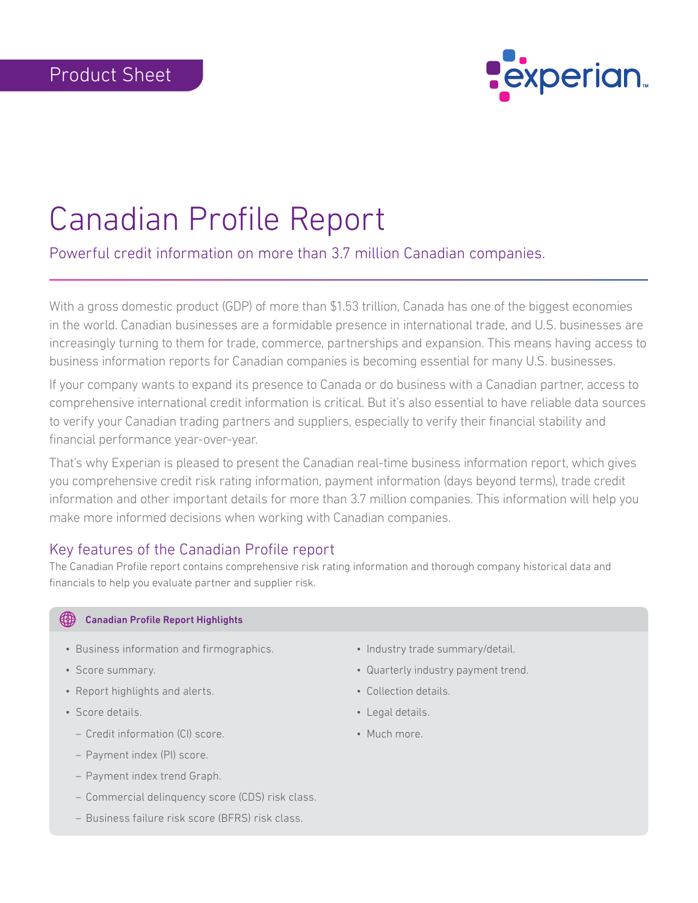

# Canadian Profile Report

Powerful credit information on more than 3.7 million Canadian companies.

With a gross domestic product (GDP) of more than \$1.53 trillion, Canada has one of the biggest economies in the world. Canadian businesses are a formidable presence in international trade, and U.S. businesses are increasingly turning to them for trade, commerce, partnerships and expansion. This means having access to business information reports for Canadian companies is becoming essential for many U.S. businesses.

If your company wants to expand its presence to Canada or do business with a Canadian partner, access to comprehensive international credit information is critical. But it's also essential to have reliable data sources to verify your Canadian trading partners and suppliers, especially to verify their financial stability and financial performance year-over-year.

That's why Experian is pleased to present the Canadian real-time business information report, which gives you comprehensive credit risk rating information, payment information (days beyond terms), trade credit information and other important details for more than 3.7 million companies. This information will help you make more informed decisions when working with Canadian companies.

# Key features of the Canadian Profile report

The Canadian Profile report contains comprehensive risk rating information and thorough company historical data and financials to help you evaluate partner and supplier risk.

#### **Canadian Profile Report Highlights**

- Business information and firmographics.
- Score summary.
- Report highlights and alerts.
- Score details.
	- Credit information (CI) score.
	- Payment index (PI) score.
	- Payment index trend Graph.
	- Commercial delinquency score (CDS) risk class.
	- Business failure risk score (BFRS) risk class.
- Industry trade summary/detail.
- Quarterly industry payment trend.
- Collection details.
- Legal details.
- Much more.